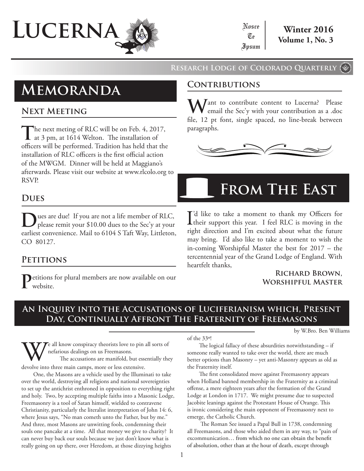

### **Research Lodge of Colorado Quarterly**

# **Memoranda Contributions**

# **Next Meeting**

The next meting of RLC will be on Feb. 4, 2017, at 3 pm, at 1614 Welton. The installation of officers will be performed. Tradition has held that the installation of RLC officers is the first official action of the MWGM. Dinner will be held at Maggiano's afterwards. Please visit our website at www.rlcolo.org to RSVP.

# **Dues**

**D**ues are due! If you are not a life member of RLC, please remit your \$10.00 dues to the Sec'y at your earliest convenience. Mail to 6104 S Taft Way, Littleton, CO 80127.

## **Petitions**

**P**etitions for plural members are now available on our website.

Want to contribute content to Lucerna? Please<br>enail the Sec'y with your contribution as a .doc file, 12 pt font, single spaced, no line-break between paragraphs.



# **From The East**

I'd like to take a moment to thank my Officers for<br>their support this year. I feel RLC is moving in the I'd like to take a moment to thank my Officers for right direction and I'm excited about what the future may bring. I'd also like to take a moment to wish the in-coming Worshipful Master the best for 2017 – the tercentennial year of the Grand Lodge of England. With heartfelt thanks,

### **Richard Brown, Worshipful Master**

# **An Inquiry into the Accusations of Luciferianism which, Present Day, Continually Affront The Fraternity of Freemasons**

by W.Bro. Ben Williams

Te all know conspiracy theorists love to pin all sorts of nefarious dealings on us Freemasons. The accusations are manifold, but essentially they

devolve into three main camps, more or less extensive. One, the Masons are a vehicle used by the Illuminati to take over the world, destroying all religions and national sovereignties to set up the antichrist enthroned in opposition to everything right and holy. Two, by accepting multiple faiths into a Masonic Lodge, Freemasonry is a tool of Satan himself, wielded to contravene Christianity, particularly the literalist interpretation of John 14: 6, where Jesus says, "No man cometh unto the Father, but by me." And three, most Masons are unwitting fools, condemning their souls one pancake at a time. All that money we give to charity? It can never buy back our souls because we just don't know what is really going on up there, over Heredom, at those dizzying heights

of the 33º!

The logical fallacy of these absurdities notwithstanding – if someone really wanted to take over the world, there are much better options than Masonry – yet anti-Masonry appears as old as the Fraternity itself.

The first consolidated move against Freemasonry appears when Holland banned membership in the Fraternity as a criminal offense, a mere eighteen years after the formation of the Grand Lodge at London in 1717. We might presume due to suspected Jacobite leanings against the Protestant House of Orange. This is ironic considering the main opponent of Freemasonry next to emerge, the Catholic Church.

 The Roman See issued a Papal Bull in 1738, condemning all Freemasons, and those who aided them in any way, to "pain of excommunication… from which no one can obtain the benefit of absolution, other than at the hour of death, except through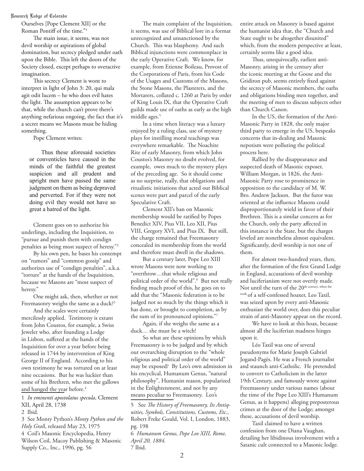#### Research Lodge of Colorado

Ourselves [Pope Clement XII] or the Roman Pontiff of the time."1

The main issue, it seems, was not devil worship or aspirations of global domination, but secrecy pledged under oath upon the Bible. This left the doors of the Society closed, except perhaps to overactive imagination.

This secrecy Clement is wont to interpret in light of John 3: 20, qui mala agit odit lucem – he who does evil hates the light. The assumption appears to be that, while the church can't prove there's anything nefarious ongoing, the fact that it's a secret means we Masons must be hiding something.

Pope Clement writes:

Thus these aforesaid societies or conventicles have caused in the minds of the faithful the greatest suspicion and all prudent and upright men have passed the same judgment on them as being depraved and perverted. For if they were not doing evil they would not have so great a hatred of the light.

Clement goes on to authorize his underlings, including the Inquisition, to "pursue and punish them with condign penalties as being most suspect of heresy."2

By his own pen, he bases his contempt on "rumors" and "common gossip" and authorizes use of "condign penalties", a.k.a. "torture" at the hands of the Inquisition, because we Masons are "most suspect of heresy."

One might ask, then, whether or not Freemasonry weighs the same as a duck?<sup>3</sup>

And the scales were certainly mercilessly applied. Testimony is extant from John Coustos, for example, a Swiss Jeweler who, after founding a Lodge in Lisbon, suffered at the hands of the Inquisition for over a year before being released in 1744 by intervention of King George II of England. According to his own testimony he was tortured on at least nine occasions. But he was luckier than some of his Brethren, who met the gallows and hanged the year before.<sup>4</sup>

1 *In eminenti apostolatus specula*, Clement XII, April 28, 1738 2 Ibid.

3 See Monty Python's *Monty Python and the Holy Grai*l, released May 23, 1975 4 Coil's Masonic Encyclopedia, Henry Wilson Coil, Macoy Publishing & Masonic Supply Co., Inc., 1996, pg. 56

The main complaint of the Inquisition, it seems, was use of Biblical lore in a format unrecognized and unsanctioned by the Church. This was blasphemy. And such Biblical injunctions were commonplace in the early Operative Craft. We know, for example, from Etienne Boileau, Provost of the Corporations of Paris, from his Code of the Usages and Customs of the Masons, the Stone Masons, the Plasterers, and the Mortarers, collated c. 1260 at Paris by order of King Louis IX, that the Operative Craft guilds made use of oaths as early as the high middle ages.<sup>5</sup>

In a time when literacy was a luxury enjoyed by a ruling class, use of mystery plays for instilling moral teachings was everywhere remarkable. The Noachite Rite of early Masonry, from which John Coustos's Masonry no doubt evolved, for example, owes much to the mystery plays of the preceding age. So it should come as no surprise, really, that obligations and ritualistic initiations that acted out Biblical scenes were part and parcel of the early Speculative Craft.

Clement XII's ban on Masonic membership would be ratified by Popes Benedict XIV, Pius VII, Leo XII, Pius VIII, Gregory XVI, and Pius IX. But still, the charge remained that Freemasonry concealed its membership from the world and therefore must dwell in the shadows.

But a century later, Pope Leo XIII wrote Masons were now working to "overthrow…that whole religious and political order of the world".6 But not really finding much proof of this, he goes on to add that the "Masonic federation is to be judged not so much by the things which it has done, or brought to completion, as by the sum of its pronounced opinions."7

Again, if she weighs the same as a duck… she must be a witch!

So what are these opinions by which Freemasonry is to be judged and by which our overarching disruption to the "whole religious and political order of the world" may be exposed? By Leo's own admission in his encyclical, Humanum Genus, "natural philosophy", Humanist reason, popularized in the Enlightenment, and not by any means peculiar to Freemasonry. Leo's

5 See *The History of Freemasonry, Its Antiquities, Symbols, Constitutions, Customs, Etc*., Robert Freke Gould, Vol. I, London, 1883, pg. 198

6 *Humanum Genus, Pope Leo XIII, Rome, April 20, 1884.* 7 Ibid.

entire attack on Masonry is based against the humanist idea that, the "Church and State ought to be altogether disunited" which, from the modern perspective at least, certainly seems like a good idea.

Thus, unequivocally, earliest anti-Masonry, arising in the century after the iconic meeting at the Goose and the Gridiron pub, seems entirely fixed against the secrecy of Masonic members, the oaths and obligations binding men together, and the meeting of men to discuss subjects other than Church Canon.

In the US, the formation of the Anti-Masonic Party in 1828, the only major third party to emerge in the US, bespeaks concerns that in-dealing and Masonic nepotism were polluting the political process here.

Rallied by the disappearance and suspected death of Masonic exposer, William Morgan, in 1826, the Anti-Masonic Party rose to prominence in opposition to the candidacy of M. W. Bro. Andrew Jackson. But the furor was oriented at the influence Masons could disproportionately wield in favor of their Brethren. This is a similar concern as for the Church, only the party affected in this instance is the State, but the charges leveled are nonetheless almost equivalent. Significantly, devil worship is not one of them.

For almost two-hundred years, then, after the formation of the first Grand Lodge in England, accusations of devil worship and luciferianism were not overtly made. Not until the turn of the 20<sup>th century, when the</sup> work of a self-confessed hoaxer, Leo Taxil, was seized upon by every anti-Masonic enthusiast the world over, does this peculiar strain of anti-Masonry appear on the record.

We have to look at this hoax, because almost all the luciferian madness hinges upon it.

Léo Taxil was one of several pseudonyms for Marie Joseph Gabriel Jogand-Pagès. He was a French journalist and staunch anti-Catholic. He pretended to convert to Catholicism in the latter 19th Century, and famously wrote against Freemasonry under various names (about the time of the Pope Leo XIII's Humanum Genus, as it happens) alleging preposterous crimes at the door of the Lodge; amongst these, accusations of devil worship.

Taxil claimed to have a written confession from one Diana Vaughan, detailing her libidinous involvement with a Satanic cult connected to a Masonic lodge.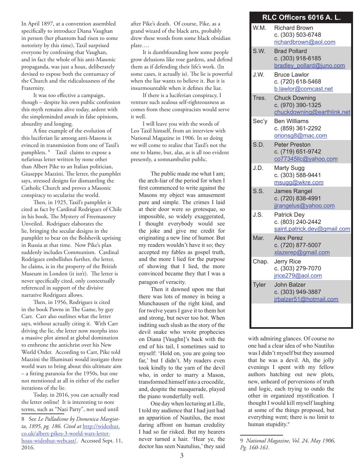In April 1897, at a convention assembled specifically to introduce Diana Vaughan in person (her phantom had risen to some notoriety by this time), Taxil surprised everyone by confessing that Vaughan, and in fact the whole of his anti-Masonic propaganda, was just a hoax, deliberately devised to expose both the contumacy of the Church and the ridiculousness of the Fraternity.

It was too effective a campaign, though – despite his own public confession this myth remains alive today, ardent with the simpleminded awash in false opinions, absurdity and longing.

A fine example of the evolution of this luciferian lie among anti-Masons is evinced in transmission from one of Taxil's pamphlets. 8 Taxil claims to expose a nefarious letter written by none other than Albert Pike to an Italian politician, Giuseppe Mazzini. The letter, the pamphlet says, stressed designs for dismantling the Catholic Church and proves a Masonic conspiracy to secularize the world.

Then, in 1925, Taxil's pamphlet is cited as fact by Cardinal Rodriguez of Chile in his book, The Mystery of Freemasonry Unveiled. Rodriguez elaborates the lie, bringing the secular designs in the pamphlet to bear on the Bolshevik uprising in Russia at that time. Now Pike's plan suddenly includes Communism. Cardinal Rodriguez embellishes further, the letter, he claims, is in the property of the British Museum in London (it isn't). The letter is never specifically cited, only contextually referenced in support of the divisive narrative Rodriguez allows.

Then, in 1956, Rodriguez is cited in the book Pawns in The Game, by guy Carr. Carr also outlines what the letter says, without actually citing it. With Carr driving the lie, the letter now morphs into a massive plot aimed at global domination to enthrone the antichrist over his New World Order. According to Carr, Pike told Mazzini the Illuminati would instigate three world wars to bring about this ultimate aim – a fitting paranoia for the 1950s, but one not mentioned at all in either of the earlier iterations of the lie.

Today, in 2016, you can actually read the letter online! It is interesting to note terms, such as "Nazi Party", not used until

after Pike's death. Of course, Pike, as a grand wizard of the black arts, probably drew these words from some black obsidian plate….

It is dumbfounding how some people grow delusions like rose gardens, and defend them as if defending their life's work. (In some cases, it actually is). The lie is powerful when the liar wants to believe it. But it is insurmountable when it defines the liar.

If there is a luciferian conspiracy, I venture such zealous self-righteousness as comes from these conspiracists would serve it well.

I will leave you with the words of Leo Taxil himself, from an interview with National Magazine in 1906. In so doing we will come to realize that Taxil's not the one to blame, but, alas, as is all too evident presently, a somnambulist public.

The public made me what I am; the arch-liar of the period for when I first commenced to write against the Masons my object was amusement pure and simple. The crimes I laid at their door were so grotesque, so impossible, so widely exaggerated, I thought everybody would see the joke and give me credit for originating a new line of humor. But my readers wouldn't have it so; they accepted my fables as gospel truth, and the more I lied for the purpose of showing that I lied, the more convinced became they that I was a paragon of veracity.

Then it dawned upon me that there was lots of money in being a Munchausen of the right kind, and for twelve years I gave it to them hot and strong, but never too hot. When inditing such slush as the story of the devil snake who wrote prophecies on Diana [Vaughn]'s back with the end of his tail, I sometimes said to myself: 'Hold on, you are going too far,' but I didn't. My readers even took kindly to the yarn of the devil who, in order to marry a Mason, transformed himself into a crocodile, and, despite the masquerade, played the piano wonderfully well.

One day when lecturing at Lille, I told my audience that I had just had an apparition of Nautilus, the most daring affront on human credulity I had so far risked. But my hearers never turned a hair. 'Hear ye, the doctor has seen Nautulius,' they said

### **RLC Officers 6016 A. L.**

| W.M.  | <b>Richard Brown</b><br>c. (303) 503-6748<br>richardbrown@aol.com       |
|-------|-------------------------------------------------------------------------|
| S.W.  | <b>Brad Pollard</b><br>c. (303) 918-6185<br>bradley pollard@juno.com    |
| J.W.  | <b>Bruce Lawlor</b><br>c. (720) 618-5468<br>b.lawlor@comcast.net        |
| Tres. | <b>Chuck Downing</b><br>c. (970) 390-1325<br>chuckdowning@earthlink.net |
| Sec'y | <b>Ben Williams</b><br>c. (859) 361-2292<br>orionsg8@mac.com            |
| S.D.  | <b>Peter Preston</b><br>c. (719) 651-9742<br>co77345llc@yahoo.com       |
| J.D.  | <b>Marty Sugg</b><br>c. (303) 588-9441<br>msugg@wkre.com                |
| S.S.  | <b>James Rangel</b><br>c. (720) 838-4991<br>jjrangelus@yahoo.com        |
| J.S.  | <b>Patrick Dey</b><br>c. (803) 240-2442<br>saint.patrick.dey@gmail.com  |
| Mar.  | <b>Alex Perez</b><br>c. (720) 877-5007<br>xlazerep@gmail.com            |
| Chap. | Jerry Rice<br>c. (303) 279-7070<br>jrice279@aol.com                     |
| Tyler | <b>John Balzer</b><br>c. (303) 949-3887<br>irbalzer51@hotmail.com       |
|       |                                                                         |

with admiring glances. Of course no one had a clear idea of who Nautilus was I didn't myself but they assumed that he was a devil. Ah, the jolly evenings I spent with my fellow authors hatching out new plots, new, unheard of perversions of truth and logic, each trying to outdo the other in organized mystification. I thought I would kill myself laughing at some of the things proposed, but everything went; there is no limit to human stupidity.<sup>9</sup>

<sup>8</sup> See *Le Palladisme by Domenica Margiotta, 1895, pg. 186. Cited at* http://wideshut. co.uk/albert-pikes-3-world-wars-letterhoax-wideshut-webcast/. Accessed Sept. 11, 2016.

<sup>9</sup> *National Magazine, Vol. 24, May 1906, Pg. 160-161.*